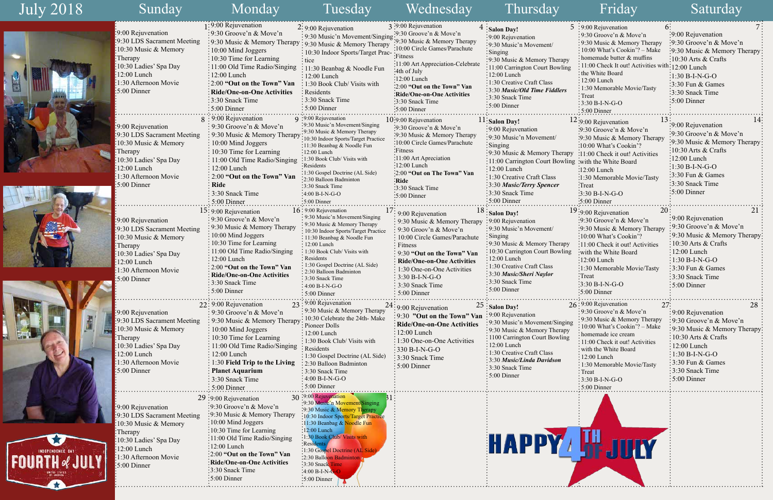|         | 5 :9:00 Rejuvenation<br>6:                           |                                             |
|---------|------------------------------------------------------|---------------------------------------------|
|         | 9:30 Groove'n & Move'n                               | 9:00 Rejuvenation                           |
|         | 9:30 Music & Memory Therapy                          | 9:30 Groove'n & Move'n                      |
|         | 10:00 What's Cookin'? - Make                         | 9:30 Music & Memory Therapy                 |
| ру      | homemade butter & muffins                            | ∙10:30 Arts & Crafts                        |
| ing     | 11:00 Check It out! Activities with: 12:00 Lunch     |                                             |
|         | the White Board                                      | <sup>:</sup> 1:30 B-I-N-G-O                 |
|         | $12:00$ Lunch                                        | 3:30 Fun & Games                            |
| rs      | 1:30 Memorable Movie/Tasty                           | 3:30 Snack Time                             |
|         | Treat                                                | 5:00 Dinner                                 |
|         | $3:30 B-I-N-G-O$<br>$: 5:00$ Dinner                  |                                             |
|         | 13                                                   | 14                                          |
|         | 12:9:00 Rejuvenation                                 | 9:00 Rejuvenation                           |
|         | :9:30 Groove'n & Move'n                              | 9:30 Groove'n & Move'n                      |
|         | :9:30 Music & Memory Therapy                         | 9:30 Music & Memory Therapy                 |
|         | :10:00 What's Cookin'?                               | 10:30 Arts $&$ Crafts                       |
| rapy    | :11:00 Check it out! Activities                      | 12:00 Lunch                                 |
|         | vling : with the White Board                         | $1:30 B-I-N-G-O$                            |
|         | $:12:00$ Lunch                                       | 3:30 Fun & Games                            |
|         | :1:30 Memorable Movie/Tasty                          | 3:30 Snack Time                             |
|         | Treat <sup>:</sup>                                   | 5:00 Dinner                                 |
|         | $3:30 B-I-N-G-O$                                     |                                             |
|         | :5:00 Dinner                                         |                                             |
|         | 20<br>19:9:00 Rejuvenation                           | 21                                          |
|         | :9:30 Groove'n & Move'n                              | 9:00 Rejuvenation<br>9:30 Groove'n & Move'n |
|         | :9:30 Music & Memory Therapy                         |                                             |
|         | 10:00 What's Cookin'?                                | 9:30 Music & Memory Therapy                 |
| ıрy     | :11:00 Check it out! Activities                      | 10:30 Arts & Crafts                         |
| $\ln g$ | with the White Board:                                | $12:00$ Lunch                               |
|         | $\frac{1}{2}12:00$ Lunch                             | $1:30 B-I-N-G-O$                            |
|         | :1:30 Memorable Movie/Tasty                          | 3:30 Fun & Games                            |
|         | :Treat<br>3:30 B-I-N-G-O                             | 3:30 Snack Time                             |
|         | $5:00$ Dinner                                        | 5:00 Dinner                                 |
|         |                                                      |                                             |
|         | 26:9:00 Rejuvenation<br>27:                          | 28                                          |
|         | 9:30 Groove'n & Move'n                               | 9:00 Rejuvenation                           |
| ging    | 9:30 Music & Memory Therapy                          | 9:30 Groove'n & Move'n                      |
| іру     | 10:00 What's Cookin'? - Make                         | 9:30 Music & Memory Therapy                 |
| ng      | homemade ice cream<br>11:00 Check it out! Activities | 10:30 Arts & Crafts                         |
|         | with the White Board                                 | 12:00 Lunch                                 |
|         | 12:00 Lunch                                          | 1:30 B-I-N-G-O                              |
|         | 1:30 Memorable Movie/Tasty                           | 3:30 Fun & Games                            |
|         | Treat                                                | 3:30 Snack Time                             |
|         | $3:30 B-I-N-G-O$                                     | 5:00 Dinner                                 |
|         | 5:00 Dinner                                          |                                             |
|         |                                                      |                                             |
|         |                                                      |                                             |
|         |                                                      |                                             |
|         |                                                      |                                             |
|         |                                                      |                                             |
|         |                                                      |                                             |
|         | UITY                                                 |                                             |
|         |                                                      |                                             |
|         |                                                      |                                             |

| July 2018 |                                                   | Sunday                                                                                                                                                                                                      | Monday                                                                                                                                                                                                                                                                                                                                                                      | Tuesday                                                                                                                                                                                                                                                                                                                                                                                              | Wednesday                                                                                                                                                                                                                                                                                                                           | Thursday                                                                                                                                                                                                                                                                                                                       | Friday                                                                                                                                                                                                                                                                                                                                                  | Saturday                                                                                                                                                                                                                                                                                |
|-----------|---------------------------------------------------|-------------------------------------------------------------------------------------------------------------------------------------------------------------------------------------------------------------|-----------------------------------------------------------------------------------------------------------------------------------------------------------------------------------------------------------------------------------------------------------------------------------------------------------------------------------------------------------------------------|------------------------------------------------------------------------------------------------------------------------------------------------------------------------------------------------------------------------------------------------------------------------------------------------------------------------------------------------------------------------------------------------------|-------------------------------------------------------------------------------------------------------------------------------------------------------------------------------------------------------------------------------------------------------------------------------------------------------------------------------------|--------------------------------------------------------------------------------------------------------------------------------------------------------------------------------------------------------------------------------------------------------------------------------------------------------------------------------|---------------------------------------------------------------------------------------------------------------------------------------------------------------------------------------------------------------------------------------------------------------------------------------------------------------------------------------------------------|-----------------------------------------------------------------------------------------------------------------------------------------------------------------------------------------------------------------------------------------------------------------------------------------|
|           |                                                   | :9:00 Rejuvenation<br>:9:30 LDS Sacrament Meeting<br>:10:30 Music & Memory<br>:Therapy<br>:10:30 Ladies' Spa Day<br>:12:00 Lunch<br>1:30 Afternoon Movie<br>5:00 Dinner                                     | 1:9:00 Rejuvenation<br>:9:30 Groove'n $& \text{Move'}n$<br>: 9:30 Music & Memory Therapy : 9:30 Music & Memory Therapy<br>: 10:00 Mind Joggers<br>$\therefore$ 10:30 Time for Learning<br>: 11:00 Old Time Radio/Singing<br>:12:00 Lunch<br>: 2:00 "Out on the Town" Van<br>: Ride/One-on-One Activities<br>: 3:30 Snack Time<br>$:5:00$ Dinner                             | 2: 9:00 Rejuvenation<br>: 9:30 Music'n Movement/Singing:<br>: 10:30 Indoor Sports/Target Prac-<br>: tice<br>$: 11:30$ Beanbag & Noodle Fun<br>$: 12:00$ Lunch<br>$\frac{1}{2}$ 1:30 Book Club/ Visits with<br>Residents<br>$\frac{1}{2}$ 3:30 Snack Time<br>$: 5:00$ Dinner                                                                                                                          | 3:9:00 Rejuvenation<br>$\approx$ 9:30 Groove'n & Move'n<br>:9:30 Music & Memory Therapy<br>:10:00 Circle Games/Parachute<br>·Fitness<br>:11:00 Art Appreciation-Celebrate<br>:4th of July<br>$:12:00$ Lunch<br>:2:00 "Out on the Town" Van<br>:Ride/One-on-One Activities<br>:3:30 Snack Time<br>$:5:00$ Dinner                     | $4:$ Salon Day!<br>∶9:00 Rejuvenation<br>:9:30 Music'n Movement/<br>$:$ Singing<br>:9:30 Music & Memory Therapy<br>:11:00 Carrington Court Bowling<br>:12:00 Lunch<br>: 1:30 Creative Craft Class<br>:3:30 Music/Old Time Fiddlers<br>:3:30 Snack Time<br>$:5:00$ Dinner                                                       | $5:9:00$ Rejuvenation<br>: 9:30 Groove'n $& \text{Move'}n$<br>$\frac{1}{2}$ 9:30 Music & Memory Therapy<br>$\div 10:00$ What's Cookin'? – Make<br>homemade butter & muffins<br>: 11:00 Check It out! Activities with<br>the White Board<br>$: 12:00$ Lunch<br>: 1:30 Memorable Movie/Tasty<br>: Treat<br>$\frac{1}{2}$ 3:30 B-I-N-G-O<br>$:5:00$ Dinner | :9:00 Rejuvenation<br>:9:30 Groove'n & Move'n<br>:9:30 Music & Memory Therapy<br>$\frac{10:30 \text{ Arts}}{8}$ Crafts<br>$1:12:00$ Lunch<br>$:1:30 B-I-N-G-O$<br>$\frac{1}{2}$ :30 Fun & Games<br>3:30 Snack Time<br>$\frac{1}{2}$ 5:00 Dinner                                         |
|           |                                                   | :9:00 Rejuvenation<br>:9:30 LDS Sacrament Meeting<br>:10:30 Music & Memory<br>:Therapy<br>10:30 Ladies' Spa Day<br>12:00 Lunch<br>1:30 Afternoon Movie<br>5:00 Dinner                                       | : 9:00 Rejuvenation<br>$\frac{1}{2}$ 9:30 Groove'n & Move'n<br>: 9:30 Music & Memory Therapy<br>: 10:00 Mind Joggers<br>$\frac{1}{2}$ 10:30 Time for Learning<br>: 11:00 Old Time Radio/Singing<br>: 12:00 Lunch<br>: 2:00 "Out on the Town" Van<br>: Ride<br>: 3:30 Snack Time                                                                                             | 9:00 Rejuvenation<br>:9:30 Music'n Movement/Singing<br>:9:30 Music & Memory Therapy<br>:10:30 Indoor Sports/Target Practice<br>:11:30 Beanbag & Noodle Fun<br>$:12:00$ Lunch<br>:1:30 Book Club/ Visits with<br>Residents<br>:1:30 Gospel Doctrine (AL Side)<br>:2:30 Balloon Badminton<br>:3:30 Snack Time<br>$\frac{1}{2}4:00 B-I-N-G-O$                                                           | 10:9:00 Rejuvenation<br>$\cdot$ 9:30 Groove'n & Move'n<br>:9:30 Music & Memory Therapy<br>:10:00 Circle Games/Parachute<br>:Fitness<br>:11:00 Art Apreciation<br>$\frac{12:00}{12:00}$ Lunch<br>:2:00 "Out on The Town" Van<br>:Ride<br>:3:30 Snack Time<br>$\frac{1}{2}$ 5:00 Dinner                                               | <sup>11</sup> : Salon Day!<br>:9:00 Rejuvenation<br>:9:30 Music'n Movement/<br>$:$ Singing<br>$\frac{1}{2}$ 9:30 Music & Memory Therapy<br>:11:00 Carrington Court Bowling :with the White Board<br>$:12:00$ Lunch<br>:1:30 Creative Craft Class<br>:3:30 Music/Terry Spencer<br>:3:30 Snack Time                              | $12:9:00$ Rejuvenation<br>:9:30 Groove'n & Move'n<br>:9:30 Music & Memory Therapy<br>:10:00 What's Cookin'?<br>:11:00 Check it out! Activities<br>$\frac{1}{2}$ :00 Lunch<br>:1:30 Memorable Movie/Tasty<br><b>Treat</b><br>$3:30 B-I-N-G-O$                                                                                                            | :9:00 Rejuvenation<br>:9:30 Groove'n & Move'n<br>9:30 Music & Memory Therapy<br>$10:30$ Arts & Crafts<br>$\frac{1}{2}12:00$ Lunch<br>$:1:30 B-I-N-G-O$<br>$\frac{1}{2}$ :30 Fun & Games<br>$\frac{1}{2}$ :30 Snack Time<br>$\frac{1}{2}$ :00 Dinner                                     |
|           |                                                   | :9:00 Rejuvenation<br>:9:30 LDS Sacrament Meeting<br>$\cdot$ 10:30 Music & Memory<br>$\blacksquare$ Therapy<br>:10:30 Ladies' Spa Day<br>$:12:00$ Lunch<br>1:30 Afternoon Movie<br>$\frac{1}{2}$ :00 Dinner | 5:00 Dinner<br>$15:9:00$ Rejuvenation<br>$\frac{1}{2}$ 9:30 Groove'n & Move'n<br>: 9:30 Music & Memory Therapy<br>$\div 10:00$ Mind Joggers<br>: 10:30 Time for Learning<br>: 11:00 Old Time Radio/Singing<br>: 12:00 Lunch<br>: 2:00 "Out on the Town" Van<br>: Ride/One-on-One Activities<br>$\frac{1}{2}$ 3:30 Snack Time<br>$\frac{1}{2}$ 5:00 Dinner                   | $:5:00$ Dinner<br>$16 \cdot 9:00$ Rejuvenation<br>: 9:30 Music'n Movement/Singing<br>: 9:30 Music & Memory Therapy<br>: 10:30 Indoor Sports/Target Practice<br>: 11:30 Beanbag & Noodle Fun<br>: 12:00 Lunch<br>: 1:30 Book Club/ Visits with<br>: Residents<br>: 1:30 Gospel Doctrine (AL Side)<br>: 2:30 Balloon Badminton<br>: 3:30 Snack Time<br>$: 4:00 B-I-N-G-O$<br>$\frac{1}{2}$ 5:00 Dinner | $\frac{1}{2}$ : 9:00 Rejuvenation<br>: 9:30 Music & Memory Therapy<br>: 9:30 Groov'n $\&$ Move'n<br>$\frac{1}{2}$ 10:00 Circle Games/Parachute<br>$\frac{1}{2}$ Fitness<br>: 9:30 "Out on the Town" Van<br>: Ride/One-on-One Activities<br>1:30 One-on-One Activities<br>$: 3:30 B-I-N-G-O$<br>: 3:30 Snack Time<br>$: 5:00$ Dinner | :5:00 Dinner<br>$18:$ Salon Day!<br>:9:00 Rejuvenation<br>:9:30 Music'n Movement/<br>Singing<br>$\cdot$ 9:30 Music & Memory Therapy<br>: 10:30 Carrington Court Bowling<br>$:12:00$ Lunch<br>$\div 1:30$ Creative Craft Class<br>3:30 Music/Sheri Naylor<br>:3:30 Snack Time<br>:5:00 Dinner                                   | :5:00 Dinner<br>20:<br>19:9:00 Rejuvenation<br>:9:30 Groove'n & Move'n<br>:9:30 Music & Memory Therapy<br>:10:00 What's Cookin'?<br>$: 11:00$ Check it out! Activities<br>with the White Board<br>$\frac{1}{2}12:00$ Lunch<br>:1:30 Memorable Movie/Tasty<br>$\cdot$ Treat<br>$3:30 B-I-N-G-O$<br>:5:00 Dinner                                          | :9:00 Rejuvenation<br>:9:30 Groove'n & Move'n<br>:9:30 Music & Memory Therapy<br>$\frac{10:30 \text{ Arts}}{8}$ Crafts<br>$\frac{1}{2}12:00$ Lunch<br>$\div 1:30 B$ -I-N-G-O<br>:3:30 Fun & Games<br>3:30 Snack Time<br>$\frac{1}{2}$ 5:00 Dinner                                       |
|           |                                                   | $\approx$ 9:00 Rejuvenation<br>:9:30 LDS Sacrament Meeting<br>:10:30 Music & Memory<br>:Therapy<br>10:30 Ladies' Spa Day<br>12:00 Lunch<br>1:30 Afternoon Movie<br>5:00 Dinner                              | $22:9:00$ Rejuvenation<br>$\frac{1}{2}$ 9:30 Groove'n & Move'n<br>$\frac{1}{2}$ 9:30 Music & Memory Therapy<br>$\frac{1}{2}$ 10:00 Mind Joggers<br>$\frac{1}{2}$ 10:30 Time for Learning<br>: 11:00 Old Time Radio/Singing<br>$\frac{1}{2}$ 12:00 Lunch<br>$\frac{1}{2}$ 1:30 Field Trip to the Living<br>: Planet Aquarium<br>$\frac{1}{2}$ 3:30 Snack Time<br>5:00 Dinner | 23:9:00 Rejuvenation<br>: 9:30 Music & Memory Therapy<br>$\div$ 10:30 Celebrate the 24th- Make<br>Pioneer Dolls<br>: 12:00 Lunch<br>: 1:30 Book Club/ Visits with<br>: Residents<br>: 1:30 Gospel Doctrine (AL Side)<br>: 2:30 Balloon Badminton<br>$\frac{1}{2}$ 3:30 Snack Time<br>$\frac{1}{2}$ 4:00 B-I-N-G-O<br>$: 5:00$ Dinner                                                                 | $24:9:00$ Rejuvenation<br>:9:30 "Out on the Town" Van<br>: Ride/One-on-One Activities<br>$\frac{1}{2}12:00$ Lunch<br>$\frac{1}{2}$ 1:30 One-on-One Activities<br>$\frac{1}{2}$ 330 B-I-N-G-O<br>$\frac{1}{2}$ 3:30 Snack Time<br>$\frac{1}{2}$ 5:00 Dinner                                                                          | $25$ : Salon Day!<br>$\div$ 9:00 Rejuvenation<br>: 9:30 Music'n Movement/Singing<br>:9:30 Music & Memory Therapy<br>$\frac{1}{2}$ 1100 Carrington Court Bowling<br>$\frac{12:00 \text{ Lunch}}{2}$<br>: 1:30 Creative Craft Class<br>: 3:30 Music/Linda Davidson<br>$\frac{1}{2}$ 3:30 Snack Time<br>$\frac{1}{2}$ 5:00 Dinner | $26:9:00$ Rejuvenation<br>:9:30 Groove'n & Move'n<br>: 9:30 Music & Memory Therapy<br>10:00 What's Cookin'? - Make<br>homemade ice cream<br>: 11:00 Check it out! Activities<br>: with the White Board<br>$: 12:00$ Lunch<br>$\frac{1}{2}$ 1:30 Memorable Movie/Tasty<br>$:$ Treat<br>:3:30 B-I-N-G-O<br>$: 5:00$ Dinner                                | 28<br>$2^{\prime}$ :<br>$\frac{1}{2}9:00$ Rejuvenation<br>:9:30 Groove'n & Move'n<br>:9:30 Music & Memory Therapy<br>10:30 Arts & Crafts<br>$12:00$ Lunch<br>$\frac{1}{2}1:30 B-I-N-G-O$<br>$\frac{1}{2}$ 3:30 Fun & Games<br>$\frac{1}{2}$ :30 Snack Time<br>$\frac{1}{2}$ 5:00 Dinner |
|           | INDEPENDENCE DAY<br>UNITED STATES<br>  OF AMERICA | :9:00 Rejuvenation<br>:9:30 LDS Sacrament Meeting<br>10:30 Music & Memory<br>$:$ Therapy<br>:10:30 Ladies' Spa Day<br>$\frac{1}{2}12:00$ Lunch<br>$:1:30$ Afternoon Movie<br>$\frac{1}{2}$ :00 Dinner       | $29:9:00$ Rejuvenation<br>$\frac{1}{2}$ 9:30 Groove'n & Move'n<br>:9:30 Music & Memory Therapy<br>$\frac{10:00 \text{ Mind} \text{ Joggers}}{}$<br>$\frac{1}{2}10:30$ Time for Learning<br>:11:00 Old Time Radio/Singing<br>:12:00 Lunch<br>:2:00 "Out on the Town" Van<br>: Ride/One-on-One Activities<br>:3:30 Snack Time<br>$\frac{1}{2}$ 5:00 Dinner                    | $\cdot$ 9:00 Rejuvenation<br>:9:30 Music'n Movement/Singing<br>:9:30 Music & Memory Therapy<br>:10:30 Indoor Sports/Target Practice<br>:11:30 Beanbag & Noodle Fun<br>$:12:00$ Lunch<br>:1:30 Book Club/ Visits with<br>Residen<br>:1:30 Gospel Doctrine (AL Side<br>:2:30 Balloon Badminton<br>:3:30 Snack Time<br>$-4:00 B-I-N-G-O$<br>$:5:00$ Dinner                                              |                                                                                                                                                                                                                                                                                                                                     | НАРРҮ Н. ЛИГ                                                                                                                                                                                                                                                                                                                   |                                                                                                                                                                                                                                                                                                                                                         |                                                                                                                                                                                                                                                                                         |

T

**SE**